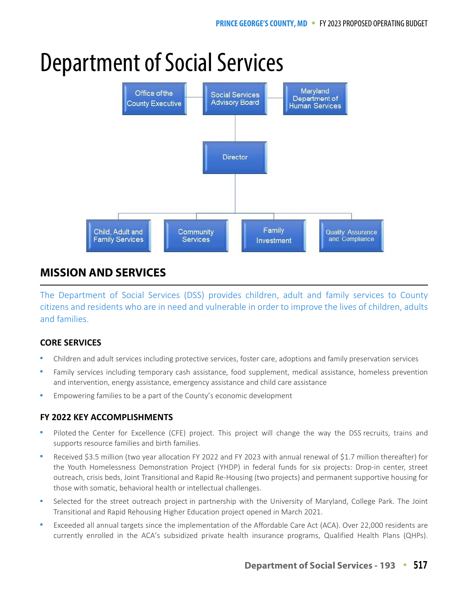# Department of Social Services



# **MISSION AND SERVICES**

The Department of Social Services (DSS) provides children, adult and family services to County citizens and residents who are in need and vulnerable in order to improve the lives of children, adults and families.

# **CORE SERVICES**

- Children and adult services including protective services, foster care, adoptions and family preservation services
- Family services including temporary cash assistance, food supplement, medical assistance, homeless prevention and intervention, energy assistance, emergency assistance and child care assistance
- Empowering families to be a part of the County's economic development

# **FY 2022 KEY ACCOMPLISHMENTS**

- Piloted the Center for Excellence (CFE) project. This project will change the way the DSS recruits, trains and supports resource families and birth families.
- Received \$3.5 million (two year allocation FY 2022 and FY 2023 with annual renewal of \$1.7 million thereafter) for the Youth Homelessness Demonstration Project (YHDP) in federal funds for six projects: Drop-in center, street outreach, crisis beds, Joint Transitional and Rapid Re-Housing (two projects) and permanent supportive housing for those with somatic, behavioral health or intellectual challenges.
- Selected for the street outreach project in partnership with the University of Maryland, College Park. The Joint Transitional and Rapid Rehousing Higher Education project opened in March 2021.
- Exceeded all annual targets since the implementation of the Affordable Care Act (ACA). Over 22,000 residents are currently enrolled in the ACA's subsidized private health insurance programs, Qualified Health Plans (QHPs).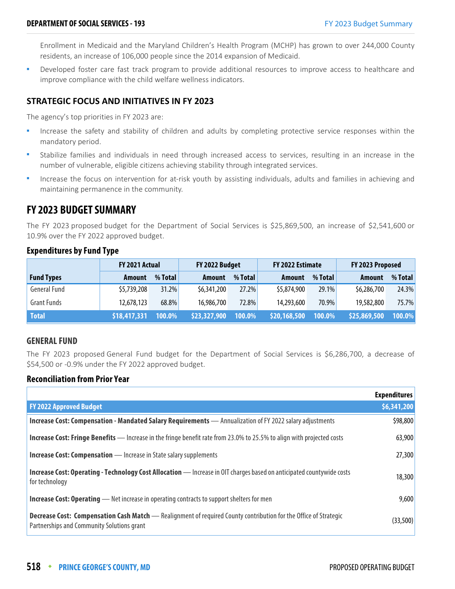Enrollment in Medicaid and the Maryland Children's Health Program (MCHP) has grown to over 244,000 County residents, an increase of 106,000 people since the 2014 expansion of Medicaid.

 Developed foster care fast track program to provide additional resources to improve access to healthcare and improve compliance with the child welfare wellness indicators.

#### **STRATEGIC FOCUS AND INITIATIVES IN FY 2023**

The agency's top priorities in FY 2023 are:

- Increase the safety and stability of children and adults by completing protective service responses within the mandatory period.
- Stabilize families and individuals in need through increased access to services, resulting in an increase in the number of vulnerable, eligible citizens achieving stability through integrated services.
- Increase the focus on intervention for at-risk youth by assisting individuals, adults and families in achieving and maintaining permanence in the community.

# **FY 2023 BUDGET SUMMARY**

The FY 2023 proposed budget for the Department of Social Services is \$25,869,500, an increase of \$2,541,600 or 10.9% over the FY 2022 approved budget.

|                     | FY 2021 Actual |          | FY 2022 Budget |         | FY 2022 Estimate    |         | FY 2023 Proposed |         |
|---------------------|----------------|----------|----------------|---------|---------------------|---------|------------------|---------|
| <b>Fund Types</b>   | <b>Amount</b>  | % Total  | <b>Amount</b>  | % Total | Amount              | % Total | Amount           | % Total |
| <b>General Fund</b> | \$5,739,208    | $31.2\%$ | \$6,341,200    | 27.2%   | \$5,874,900         | 29.1%   | \$6,286,700      | 24.3%   |
| <b>Grant Funds</b>  | 12,678,123     | 68.8%    | 16,986,700     | 72.8%   | 14,293,600          | 70.9%   | 19,582,800       | 75.7%   |
| <b>Total</b>        | \$18,417,331   | 100.0%   | \$23,327,900   | 100.0%  | <b>\$20,168,500</b> | 100.0%  | \$25,869,500     | 100.0%  |

#### **Expenditures by Fund Type**

#### **GENERAL FUND**

The FY 2023 proposed General Fund budget for the Department of Social Services is \$6,286,700, a decrease of \$54,500 or -0.9% under the FY 2022 approved budget.

#### **Reconciliation from Prior Year**

|                                                                                                                                                                | <b>Expenditures</b> |
|----------------------------------------------------------------------------------------------------------------------------------------------------------------|---------------------|
| <b>FY 2022 Approved Budget</b>                                                                                                                                 | \$6,341,200         |
| Increase Cost: Compensation - Mandated Salary Requirements - Annualization of FY 2022 salary adjustments                                                       | \$98,800            |
| Increase Cost: Fringe Benefits - Increase in the fringe benefit rate from 23.0% to 25.5% to align with projected costs                                         | 63,900              |
| <b>Increase Cost: Compensation</b> - Increase in State salary supplements                                                                                      | 27,300              |
| Increase Cost: Operating - Technology Cost Allocation - Increase in OIT charges based on anticipated countywide costs<br>for technology                        | 18,300              |
| <b>Increase Cost: Operating</b> — Net increase in operating contracts to support shelters for men                                                              | 9,600               |
| Decrease Cost: Compensation Cash Match - Realignment of required County contribution for the Office of Strategic<br>Partnerships and Community Solutions grant | (33,500)            |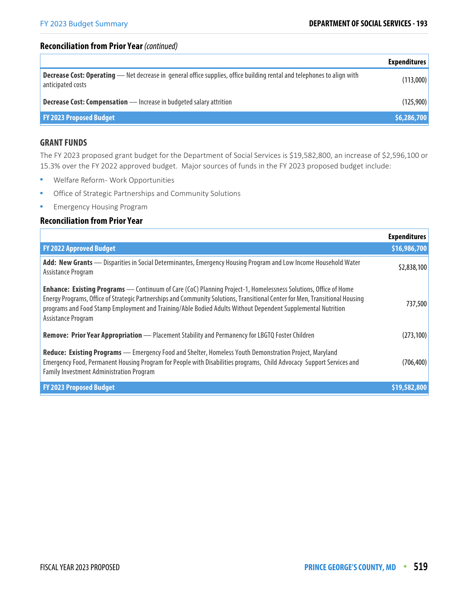#### **Reconciliation from Prior Year** (continued)

|                                                                                                                                                     | <b>Expenditures</b> |
|-----------------------------------------------------------------------------------------------------------------------------------------------------|---------------------|
| <b>Decrease Cost: Operating</b> — Net decrease in general office supplies, office building rental and telephones to align with<br>anticipated costs | (113,000)           |
| <b>Decrease Cost: Compensation</b> - Increase in budgeted salary attrition                                                                          | (125,900)           |
| <b>FY 2023 Proposed Budget</b>                                                                                                                      | \$6,286,700         |

#### **GRANT FUNDS**

The FY 2023 proposed grant budget for the Department of Social Services is \$19,582,800, an increase of \$2,596,100 or 15.3% over the FY 2022 approved budget. Major sources of funds in the FY 2023 proposed budget include:

- **Welfare Reform Work Opportunities**
- **•** Office of Strategic Partnerships and Community Solutions
- **Emergency Housing Program**

#### **Reconciliation from Prior Year**

|                                                                                                                                                                                                                                                                                                                                                                                             | <b>Expenditures</b> |
|---------------------------------------------------------------------------------------------------------------------------------------------------------------------------------------------------------------------------------------------------------------------------------------------------------------------------------------------------------------------------------------------|---------------------|
| <b>FY 2022 Approved Budget</b>                                                                                                                                                                                                                                                                                                                                                              | \$16,986,700        |
| Add: New Grants - Disparities in Social Determinantes, Emergency Housing Program and Low Income Household Water<br>Assistance Program                                                                                                                                                                                                                                                       | \$2,838,100         |
| <b>Enhance: Existing Programs</b> — Continuum of Care (CoC) Planning Project-1, Homelessness Solutions, Office of Home<br>Energy Programs, Office of Strategic Partnerships and Community Solutions, Transitional Center for Men, Transitional Housing<br>programs and Food Stamp Employment and Training/Able Bodied Adults Without Dependent Supplemental Nutrition<br>Assistance Program | 737,500             |
| Remove: Prior Year Appropriation - Placement Stability and Permanency for LBGTQ Foster Children                                                                                                                                                                                                                                                                                             | (273, 100)          |
| Reduce: Existing Programs - Emergency Food and Shelter, Homeless Youth Demonstration Project, Maryland<br>Emergency Food, Permanent Housing Program for People with Disabilities programs, Child Advocacy Support Services and<br><b>Family Investment Administration Program</b>                                                                                                           | (706, 400)          |
| <b>FY 2023 Proposed Budget</b>                                                                                                                                                                                                                                                                                                                                                              | \$19,582,800        |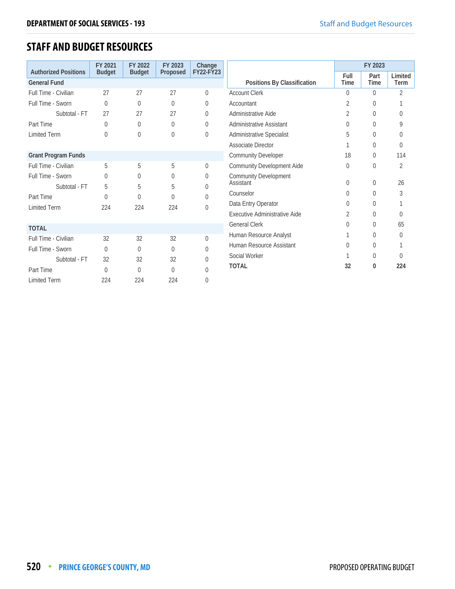# **STAFF AND BUDGET RESOURCES**

|                                                    | FY 2021       | FY 2022        | FY 2023  | Change    |                                  |                     | FY 2023        |                 |
|----------------------------------------------------|---------------|----------------|----------|-----------|----------------------------------|---------------------|----------------|-----------------|
| <b>Authorized Positions</b><br><b>General Fund</b> | <b>Budget</b> | <b>Budget</b>  | Proposed | FY22-FY23 | Positions By Classification      | Full<br><b>Time</b> | Part<br>Time   | Limited<br>Term |
| Full Time - Civilian                               | 27            | 27             | 27       | $\theta$  | <b>Account Clerk</b>             | $\Omega$            | $\Omega$       | $\overline{2}$  |
|                                                    |               |                | $\theta$ |           | Accountant                       |                     | $\Omega$       |                 |
| Full Time - Sworn                                  | 0             | $\overline{0}$ |          | $\theta$  |                                  | 2                   |                |                 |
| Subtotal - FT                                      | 27            | 27             | 27       | 0         | Administrative Aide              | 2                   | $\Omega$       | $\Omega$        |
| Part Time                                          | 0             | $\Omega$       | $\theta$ | $\Omega$  | Administrative Assistant         | $\Omega$            | $\Omega$       | Q               |
| <b>Limited Term</b>                                | 0             | $\overline{0}$ | 0        | $\theta$  | <b>Administrative Specialist</b> | 5                   | $\Omega$       | $\Omega$        |
|                                                    |               |                |          |           | <b>Associate Director</b>        |                     | $\Omega$       | $\Omega$        |
| <b>Grant Program Funds</b>                         |               |                |          |           | <b>Community Developer</b>       | 18                  | 0              | 114             |
| Full Time - Civilian                               | 5             | 5              | 5        | $\theta$  | Community Development Aide       | $\theta$            | $\Omega$       | 2               |
| Full Time - Sworn                                  | 0             | 0              | $\theta$ | $\theta$  | <b>Community Development</b>     |                     |                |                 |
| Subtotal - FT                                      | 5             | 5              | 5        | $\Omega$  | Assistant                        | $\Omega$            | $\overline{0}$ | 26              |
| Part Time                                          | $\theta$      | $\Omega$       | U        | $\Omega$  | Counselor                        | $\Omega$            | $\Omega$       | 3               |
| <b>Limited Term</b>                                | 224           | 224            | 224      | $\theta$  | Data Entry Operator              | $\Omega$            | $\theta$       |                 |
|                                                    |               |                |          |           | Executive Administrative Aide    | 2                   | $\Omega$       | $\Omega$        |
| <b>TOTAL</b>                                       |               |                |          |           | <b>General Clerk</b>             | $\theta$            | $\Omega$       | 65              |
| Full Time - Civilian                               | 32            | 32             | 32       | $\Omega$  | Human Resource Analyst           |                     | $\Omega$       | $\Omega$        |
| Full Time - Sworn                                  | $\Omega$      | $\theta$       | $\theta$ | $\theta$  | Human Resource Assistant         | $\theta$            | $\Omega$       |                 |
| Subtotal - FT                                      | 32            | 32             | 32       | $\Omega$  | Social Worker                    |                     | $\Omega$       | $\Omega$        |
|                                                    |               |                |          |           | <b>TOTAL</b>                     | 32                  | 0              | 224             |
| Part Time                                          | $\theta$      | $\Omega$       | $\Omega$ | $\theta$  |                                  |                     |                |                 |
| <b>Limited Term</b>                                | 224           | 224            | 224      | $\theta$  |                                  |                     |                |                 |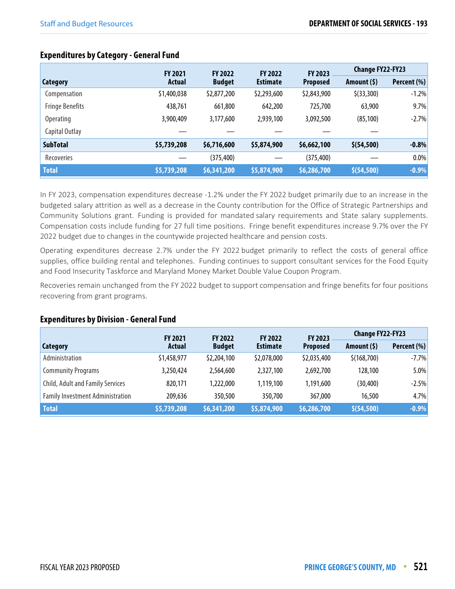|  |                        | <b>FY 2021</b> | <b>FY 2022</b> | <b>FY 2022</b>  | FY 2023         | Change FY22-FY23 |             |
|--|------------------------|----------------|----------------|-----------------|-----------------|------------------|-------------|
|  | Category               | Actual         | <b>Budget</b>  | <b>Estimate</b> | <b>Proposed</b> | Amount $(5)$     | Percent (%) |
|  | Compensation           | \$1,400,038    | \$2,877,200    | \$2,293,600     | \$2,843,900     | $$$ (33,300)     | $-1.2%$     |
|  | <b>Fringe Benefits</b> | 438,761        | 661.800        | 642,200         | 725,700         | 63,900           | 9.7%        |
|  | <b>Operating</b>       | 3,900,409      | 3,177,600      | 2,939,100       | 3,092,500       | (85, 100)        | $-2.7%$     |

Capital Outlay — — — — —

# **Expenditures by Category - General Fund**

In FY 2023, compensation expenditures decrease -1.2% under the FY 2022 budget primarily due to an increase in the budgeted salary attrition as well as a decrease in the County contribution for the Office of Strategic Partnerships and Community Solutions grant. Funding is provided for mandated salary requirements and State salary supplements. Compensation costs include funding for 27 full time positions. Fringe benefit expenditures increase 9.7% over the FY 2022 budget due to changes in the countywide projected healthcare and pension costs.

**SubTotal \$5,739,208 \$6,716,600 \$5,874,900 \$6,662,100 \$(54,500) -0.8%** Recoveries — (375,400) — (375,400) — 0.0% **Total \$5,739,208 \$6,341,200 \$5,874,900 \$6,286,700 \$(54,500) -0.9%**

Operating expenditures decrease 2.7% under the FY 2022 budget primarily to reflect the costs of general office supplies, office building rental and telephones. Funding continues to support consultant services for the Food Equity and Food Insecurity Taskforce and Maryland Money Market Double Value Coupon Program.

Recoveries remain unchanged from the FY 2022 budget to support compensation and fringe benefits for four positions recovering from grant programs.

#### **Expenditures by Division - General Fund**

|                                         | <b>FY 2021</b>      | <b>FY 2022</b> | <b>FY 2022</b>  | <b>FY 2023</b>  | <b>Change FY22-FY23</b> |             |
|-----------------------------------------|---------------------|----------------|-----------------|-----------------|-------------------------|-------------|
| Category                                | <b>Actual</b>       | <b>Budget</b>  | <b>Estimate</b> | <b>Proposed</b> | Amount $(5)$            | Percent (%) |
| Administration                          | \$1,458,977         | \$2,204,100    | \$2,078,000     | \$2,035,400     | \$(168,700)             | $-7.7\%$    |
| <b>Community Programs</b>               | 3,250,424           | 2,564,600      | 2,327,100       | 2,692,700       | 128,100                 | 5.0%        |
| Child, Adult and Family Services        | 820,171             | 1,222,000      | 1,119,100       | 1,191,600       | (30, 400)               | $-2.5%$     |
| <b>Family Investment Administration</b> | 209,636             | 350,500        | 350,700         | 367,000         | 16,500                  | 4.7%        |
| <b>Total</b>                            | $\sqrt{55,739,208}$ | 56,341,200     | \$5,874,900     | \$6,286,700     | \$ (54, 500)            | $-0.9\%$    |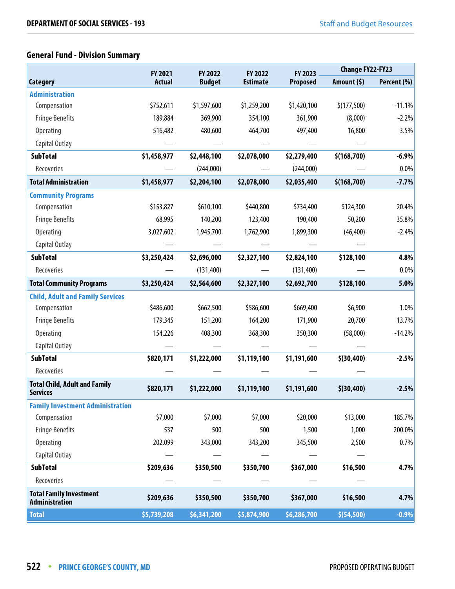# **General Fund - Division Summary**

|                                                         | FY 2021       | FY 2022       | FY 2022         | FY 2023         | <b>Change FY22-FY23</b> |             |
|---------------------------------------------------------|---------------|---------------|-----------------|-----------------|-------------------------|-------------|
| <b>Category</b>                                         | <b>Actual</b> | <b>Budget</b> | <b>Estimate</b> | <b>Proposed</b> | Amount (\$)             | Percent (%) |
| <b>Administration</b>                                   |               |               |                 |                 |                         |             |
| Compensation                                            | \$752,611     | \$1,597,600   | \$1,259,200     | \$1,420,100     | \$(177,500)             | $-11.1%$    |
| <b>Fringe Benefits</b>                                  | 189,884       | 369,900       | 354,100         | 361,900         | (8,000)                 | $-2.2%$     |
| Operating                                               | 516,482       | 480,600       | 464,700         | 497,400         | 16,800                  | 3.5%        |
| Capital Outlay                                          |               |               |                 |                 |                         |             |
| <b>SubTotal</b>                                         | \$1,458,977   | \$2,448,100   | \$2,078,000     | \$2,279,400     | \$(168,700)             | $-6.9%$     |
| Recoveries                                              |               | (244,000)     |                 | (244,000)       |                         | 0.0%        |
| <b>Total Administration</b>                             | \$1,458,977   | \$2,204,100   | \$2,078,000     | \$2,035,400     | \$(168,700)             | $-7.7%$     |
| <b>Community Programs</b>                               |               |               |                 |                 |                         |             |
| Compensation                                            | \$153,827     | \$610,100     | \$440,800       | \$734,400       | \$124,300               | 20.4%       |
| <b>Fringe Benefits</b>                                  | 68,995        | 140,200       | 123,400         | 190,400         | 50,200                  | 35.8%       |
| <b>Operating</b>                                        | 3,027,602     | 1,945,700     | 1,762,900       | 1,899,300       | (46, 400)               | $-2.4%$     |
| Capital Outlay                                          |               |               |                 |                 |                         |             |
| <b>SubTotal</b>                                         | \$3,250,424   | \$2,696,000   | \$2,327,100     | \$2,824,100     | \$128,100               | 4.8%        |
| Recoveries                                              |               | (131, 400)    |                 | (131, 400)      |                         | 0.0%        |
| <b>Total Community Programs</b>                         | \$3,250,424   | \$2,564,600   | \$2,327,100     | \$2,692,700     | \$128,100               | 5.0%        |
| <b>Child, Adult and Family Services</b>                 |               |               |                 |                 |                         |             |
| Compensation                                            | \$486,600     | \$662,500     | \$586,600       | \$669,400       | \$6,900                 | 1.0%        |
| <b>Fringe Benefits</b>                                  | 179,345       | 151,200       | 164,200         | 171,900         | 20,700                  | 13.7%       |
| Operating                                               | 154,226       | 408,300       | 368,300         | 350,300         | (58,000)                | $-14.2%$    |
| Capital Outlay                                          |               |               |                 |                 |                         |             |
| <b>SubTotal</b>                                         | \$820,171     | \$1,222,000   | \$1,119,100     | \$1,191,600     | \$ (30, 400)            | $-2.5%$     |
| Recoveries                                              |               |               |                 |                 |                         |             |
| <b>Total Child, Adult and Family</b><br><b>Services</b> | \$820,171     | \$1,222,000   | \$1,119,100     | \$1,191,600     | \$ (30, 400)            | $-2.5%$     |
| <b>Family Investment Administration</b>                 |               |               |                 |                 |                         |             |
| Compensation                                            | \$7,000       | \$7,000       | \$7,000         | \$20,000        | \$13,000                | 185.7%      |
| <b>Fringe Benefits</b>                                  | 537           | 500           | 500             | 1,500           | 1,000                   | 200.0%      |
| <b>Operating</b>                                        | 202,099       | 343,000       | 343,200         | 345,500         | 2,500                   | 0.7%        |
| Capital Outlay                                          |               |               |                 |                 |                         |             |
| <b>SubTotal</b>                                         | \$209,636     | \$350,500     | \$350,700       | \$367,000       | \$16,500                | 4.7%        |
| Recoveries                                              |               |               |                 |                 |                         |             |
| <b>Total Family Investment</b><br><b>Administration</b> | \$209,636     | \$350,500     | \$350,700       | \$367,000       | \$16,500                | 4.7%        |
| <b>Total</b>                                            | \$5,739,208   | \$6,341,200   | \$5,874,900     | \$6,286,700     | \$(54, 500)             | $-0.9%$     |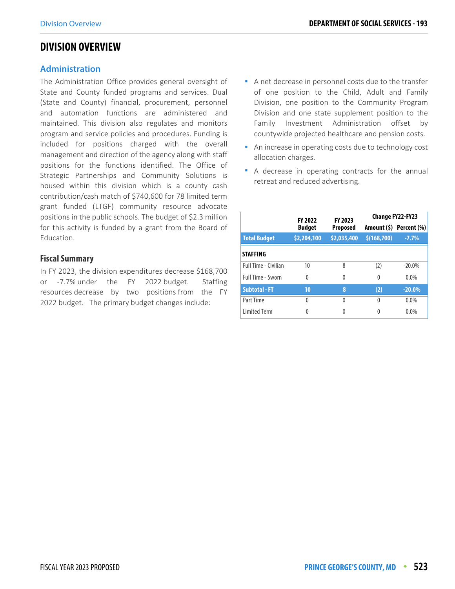# **DIVISION OVERVIEW**

#### **Administration**

The Administration Office provides general oversight of State and County funded programs and services. Dual (State and County) financial, procurement, personnel and automation functions are administered and maintained. This division also regulates and monitors program and service policies and procedures. Funding is included for positions charged with the overall management and direction of the agency along with staff positions for the functions identified. The Office of Strategic Partnerships and Community Solutions is housed within this division which is a county cash contribution/cash match of \$740,600 for 78 limited term grant funded (LTGF) community resource advocate positions in the public schools. The budget of \$2.3 million for this activity is funded by a grant from the Board of Education.

#### **Fiscal Summary**

In FY 2023, the division expenditures decrease \$168,700 or -7.7% under the FY 2022 budget. Staffing resources decrease by two positions from the FY 2022 budget. The primary budget changes include:

- A net decrease in personnel costs due to the transfer of one position to the Child, Adult and Family Division, one position to the Community Program Division and one state supplement position to the Family Investment Administration offset by countywide projected healthcare and pension costs.
- An increase in operating costs due to technology cost allocation charges.
- A decrease in operating contracts for the annual retreat and reduced advertising.

|                             | <b>FY 2022</b> | FY 2023         | <b>Change FY22-FY23</b> |                         |  |  |
|-----------------------------|----------------|-----------------|-------------------------|-------------------------|--|--|
|                             | <b>Budget</b>  | <b>Proposed</b> |                         | Amount (\$) Percent (%) |  |  |
| <b>Total Budget</b>         | \$2,204,100    | \$2,035,400     | \$(168, 700)            | $-7.7%$                 |  |  |
| <b>STAFFING</b>             |                |                 |                         |                         |  |  |
| <b>Full Time - Civilian</b> | 10             | 8               | (2)                     | $-20.0\%$               |  |  |
| <b>Full Time - Sworn</b>    | $\Omega$       | $\Omega$        | $\Omega$                | $0.0\%$                 |  |  |
| <b>Subtotal - FT</b>        | 10             | 8               | (2)                     | $-20.0%$                |  |  |
| Part Time                   | $\Omega$       | 0               | $\Omega$                | $0.0\%$                 |  |  |
| <b>Limited Term</b>         | 0              |                 | 0                       | 0.0%                    |  |  |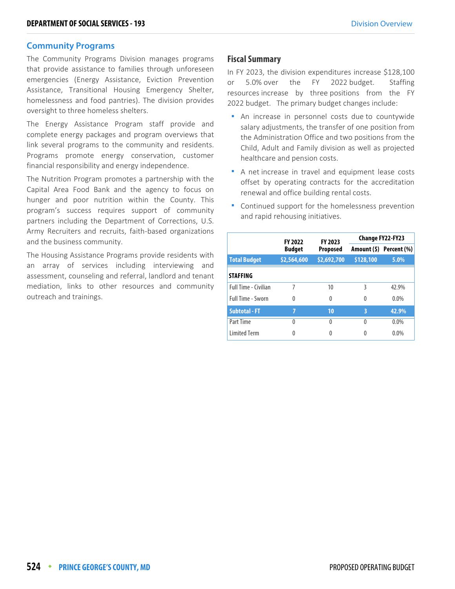#### **Community Programs**

The Community Programs Division manages programs that provide assistance to families through unforeseen emergencies (Energy Assistance, Eviction Prevention Assistance, Transitional Housing Emergency Shelter, homelessness and food pantries). The division provides oversight to three homeless shelters.

The Energy Assistance Program staff provide and complete energy packages and program overviews that link several programs to the community and residents. Programs promote energy conservation, customer financial responsibility and energy independence.

The Nutrition Program promotes a partnership with the Capital Area Food Bank and the agency to focus on hunger and poor nutrition within the County. This program's success requires support of community partners including the Department of Corrections, U.S. Army Recruiters and recruits, faith-based organizations and the business community.

The Housing Assistance Programs provide residents with an array of services including interviewing and assessment, counseling and referral, landlord and tenant mediation, links to other resources and community outreach and trainings.

#### **Fiscal Summary**

In FY 2023, the division expenditures increase \$128,100 or 5.0% over the FY 2022 budget. Staffing resources increase by three positions from the FY 2022 budget. The primary budget changes include:

- An increase in personnel costs due to countywide salary adjustments, the transfer of one position from the Administration Office and two positions from the Child, Adult and Family division as well as projected healthcare and pension costs.
- A net increase in travel and equipment lease costs offset by operating contracts for the accreditation renewal and office building rental costs.
- Continued support for the homelessness prevention and rapid rehousing initiatives.

|                             | <b>FY 2022</b> | FY 2023         | <b>Change FY22-FY23</b> |                         |  |  |
|-----------------------------|----------------|-----------------|-------------------------|-------------------------|--|--|
|                             | <b>Budget</b>  | <b>Proposed</b> |                         | Amount (\$) Percent (%) |  |  |
| <b>Total Budget</b>         | \$2,564,600    | \$2,692,700     | \$128,100               | 5.0%                    |  |  |
| <b>STAFFING</b>             |                |                 |                         |                         |  |  |
| <b>Full Time - Civilian</b> | 7              | 10              | 3                       | 42.9%                   |  |  |
| <b>Full Time - Sworn</b>    | 0              | $\theta$        | 0                       | $0.0\%$                 |  |  |
| <b>Subtotal - FT</b>        | 7              | 10              | 3                       | 42.9%                   |  |  |
| Part Time                   | $\Omega$       | $\Omega$        | $\Omega$                | 0.0%                    |  |  |
| <b>Limited Term</b>         | 0              |                 | 0                       | 0.0%                    |  |  |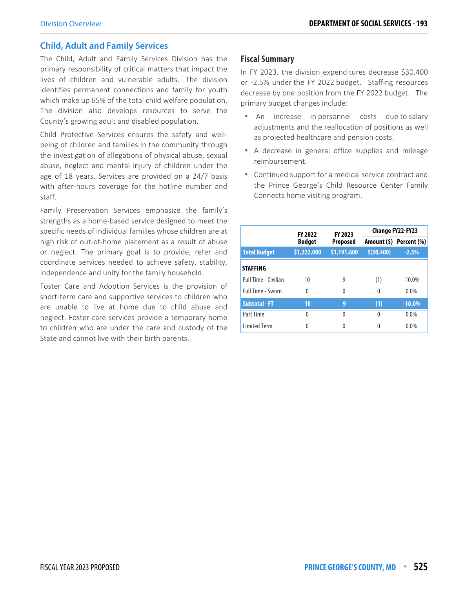#### **Child, Adult and Family Services**

The Child, Adult and Family Services Division has the primary responsibility of critical matters that impact the lives of children and vulnerable adults. The division identifies permanent connections and family for youth which make up 65% of the total child welfare population. The division also develops resources to serve the County's growing adult and disabled population.

Child Protective Services ensures the safety and wellbeing of children and families in the community through the investigation of allegations of physical abuse, sexual abuse, neglect and mental injury of children under the age of 18 years. Services are provided on a 24/7 basis with after-hours coverage for the hotline number and staff.

Family Preservation Services emphasize the family's strengths as a home-based service designed to meet the specific needs of individual families whose children are at high risk of out-of-home placement as a result of abuse or neglect. The primary goal is to provide, refer and coordinate services needed to achieve safety, stability, independence and unity for the family household.

Foster Care and Adoption Services is the provision of short-term care and supportive services to children who are unable to live at home due to child abuse and neglect. Foster care services provide a temporary home to children who are under the care and custody of the State and cannot live with their birth parents.

#### **Fiscal Summary**

In FY 2023, the division expenditures decrease \$30,400 or -2.5% under the FY 2022 budget. Staffing resources decrease by one position from the FY 2022 budget. The primary budget changes include:

- An increase in personnel costs due to salary adjustments and the reallocation of positions as well as projected healthcare and pension costs.
- **A** decrease in general office supplies and mileage reimbursement.
- Continued support for a medical service contract and the Prince George's Child Resource Center Family Connects home visiting program.

|                             | <b>FY 2022</b> | FY 2023     | <b>Change FY22-FY23</b> |                         |  |  |
|-----------------------------|----------------|-------------|-------------------------|-------------------------|--|--|
|                             | <b>Budget</b>  | Proposed    |                         | Amount (\$) Percent (%) |  |  |
| <b>Total Budget</b>         | \$1,222,000    | \$1,191,600 | \$ (30, 400)            | $-2.5%$                 |  |  |
| <b>STAFFING</b>             |                |             |                         |                         |  |  |
| <b>Full Time - Civilian</b> | 10             | 9           | (1)                     | $-10.0\%$               |  |  |
| <b>Full Time - Sworn</b>    | $\Omega$       | 0           | $\Omega$                | $0.0\%$                 |  |  |
| <b>Subtotal - FT</b>        | 10             | 9           | (1)                     | $-10.0%$                |  |  |
| Part Time                   | $\Omega$       | 0           | 0                       | $0.0\%$                 |  |  |
| <b>Limited Term</b>         | 0              |             | 0                       | $0.0\%$                 |  |  |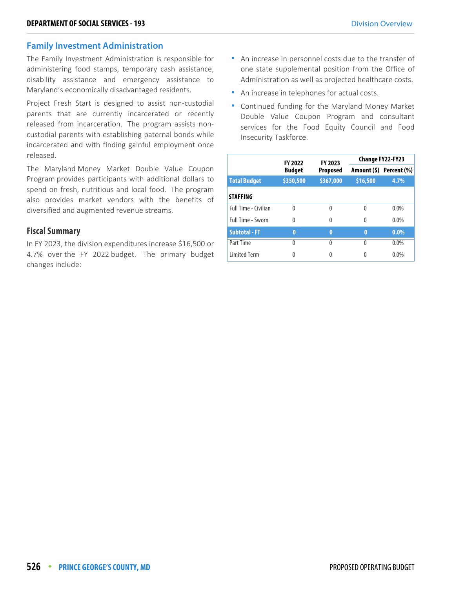#### **Family Investment Administration**

The Family Investment Administration is responsible for administering food stamps, temporary cash assistance, disability assistance and emergency assistance to Maryland's economically disadvantaged residents.

Project Fresh Start is designed to assist non-custodial parents that are currently incarcerated or recently released from incarceration. The program assists noncustodial parents with establishing paternal bonds while incarcerated and with finding gainful employment once released.

The Maryland Money Market Double Value Coupon Program provides participants with additional dollars to spend on fresh, nutritious and local food. The program also provides market vendors with the benefits of diversified and augmented revenue streams.

#### **Fiscal Summary**

In FY 2023, the division expenditures increase \$16,500 or 4.7% over the FY 2022 budget. The primary budget changes include:

- An increase in personnel costs due to the transfer of one state supplemental position from the Office of Administration as well as projected healthcare costs.
- **An increase in telephones for actual costs.**
- Continued funding for the Maryland Money Market Double Value Coupon Program and consultant services for the Food Equity Council and Food Insecurity Taskforce.

|                      | <b>FY 2022</b> | FY 2023   | Change FY22-FY23 |                         |  |
|----------------------|----------------|-----------|------------------|-------------------------|--|
|                      | <b>Budget</b>  | Proposed  |                  | Amount (\$) Percent (%) |  |
| <b>Total Budget</b>  | \$350,500      | \$367,000 | \$16,500         | 4.7%                    |  |
| <b>STAFFING</b>      |                |           |                  |                         |  |
| Full Time - Civilian | $\Omega$       | $\Omega$  | $\Omega$         | $0.0\%$                 |  |
| Full Time - Sworn    | 0              | 0         | 0                | $0.0\%$                 |  |
| <b>Subtotal - FT</b> | 0              | $\bf{0}$  | $\bf{0}$         | $0.0\%$                 |  |
| Part Time            | 0              | $\Omega$  | U                | $0.0\%$                 |  |
| <b>Limited Term</b>  | 0              |           |                  | $0.0\%$                 |  |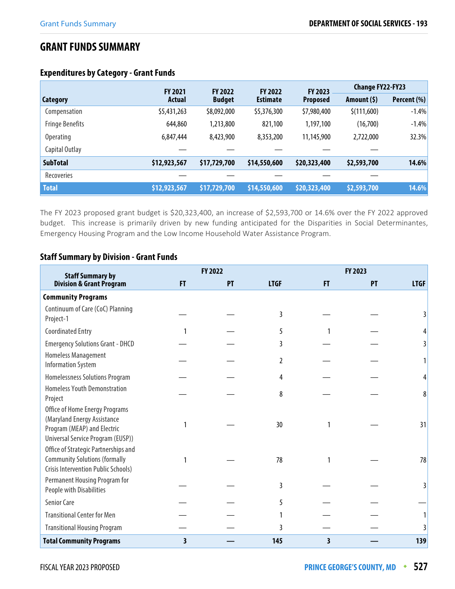# **GRANT FUNDS SUMMARY**

|                        | <b>FY 2021</b> | <b>FY 2022</b> | <b>FY 2022</b>  | <b>FY 2023</b>  | <b>Change FY22-FY23</b> |             |
|------------------------|----------------|----------------|-----------------|-----------------|-------------------------|-------------|
| <b>Category</b>        | <b>Actual</b>  | <b>Budget</b>  | <b>Estimate</b> | <b>Proposed</b> | Amount $(5)$            | Percent (%) |
| Compensation           | \$5,431,263    | \$8,092,000    | \$5,376,300     | \$7,980,400     | \$(111,600)             | $-1.4%$     |
| <b>Fringe Benefits</b> | 644,860        | 1,213,800      | 821,100         | 1,197,100       | (16,700)                | $-1.4%$     |
| <b>Operating</b>       | 6,847,444      | 8,423,900      | 8,353,200       | 11,145,900      | 2,722,000               | 32.3%       |
| Capital Outlay         |                |                |                 |                 |                         |             |
| <b>SubTotal</b>        | \$12,923,567   | \$17,729,700   | \$14,550,600    | \$20,323,400    | \$2,593,700             | 14.6%       |
| Recoveries             |                |                |                 |                 |                         |             |
| <b>Total</b>           | \$12,923,567   | \$17,729,700   | \$14,550,600    | \$20,323,400    | \$2,593,700             | 14.6%       |

#### **Expenditures by Category - Grant Funds**

The FY 2023 proposed grant budget is \$20,323,400, an increase of \$2,593,700 or 14.6% over the FY 2022 approved budget. This increase is primarily driven by new funding anticipated for the Disparities in Social Determinantes, Emergency Housing Program and the Low Income Household Water Assistance Program.

#### **Staff Summary by Division - Grant Funds**

| <b>Staff Summary by</b>                                                                                                           |   | FY 2022 |             | FY 2023 |    |             |
|-----------------------------------------------------------------------------------------------------------------------------------|---|---------|-------------|---------|----|-------------|
| <b>Division &amp; Grant Program</b>                                                                                               | F | PT      | <b>LTGF</b> | F       | PT | <b>LTGF</b> |
| <b>Community Programs</b>                                                                                                         |   |         |             |         |    |             |
| Continuum of Care (CoC) Planning<br>Project-1                                                                                     |   |         | 3           |         |    |             |
| <b>Coordinated Entry</b>                                                                                                          |   |         | 5           |         |    |             |
| <b>Emergency Solutions Grant - DHCD</b>                                                                                           |   |         | 3           |         |    |             |
| Homeless Management<br><b>Information System</b>                                                                                  |   |         | 2           |         |    |             |
| Homelessness Solutions Program                                                                                                    |   |         | 4           |         |    |             |
| <b>Homeless Youth Demonstration</b><br>Project                                                                                    |   |         | 8           |         |    | 8           |
| Office of Home Energy Programs<br>(Maryland Energy Assistance<br>Program (MEAP) and Electric<br>Universal Service Program (EUSP)) |   |         | 30          |         |    | 31          |
| Office of Strategic Partnerships and<br><b>Community Solutions (formally</b><br>Crisis Intervention Public Schools)               |   |         | 78          |         |    | 78          |
| <b>Permanent Housing Program for</b><br>People with Disabilities                                                                  |   |         | 3           |         |    |             |
| <b>Senior Care</b>                                                                                                                |   |         | 5           |         |    |             |
| <b>Transitional Center for Men</b>                                                                                                |   |         |             |         |    |             |
| <b>Transitional Housing Program</b>                                                                                               |   |         | 3           |         |    |             |
| <b>Total Community Programs</b>                                                                                                   | 3 |         | 145         | 3       |    | 139         |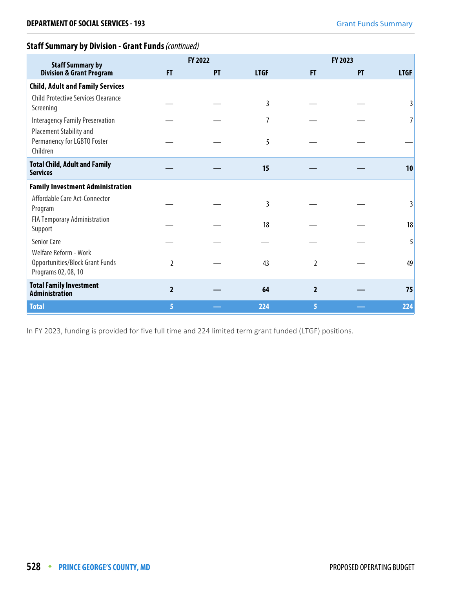# **Staff Summary by Division - Grant Funds** (continued)

| <b>Staff Summary by</b>                                                         |                | FY 2022 |             |                | <b>FY 2023</b> |             |
|---------------------------------------------------------------------------------|----------------|---------|-------------|----------------|----------------|-------------|
| <b>Division &amp; Grant Program</b>                                             | FT             | PT      | <b>LTGF</b> | <b>FT</b>      | PT             | <b>LTGF</b> |
| <b>Child, Adult and Family Services</b>                                         |                |         |             |                |                |             |
| <b>Child Protective Services Clearance</b><br>Screening                         |                |         | 3           |                |                |             |
| <b>Interagency Family Preservation</b>                                          |                |         | 7           |                |                |             |
| Placement Stability and<br>Permanency for LGBTQ Foster<br>Children              |                |         | 5           |                |                |             |
| <b>Total Child, Adult and Family</b><br><b>Services</b>                         |                |         | 15          |                |                | 10          |
| <b>Family Investment Administration</b>                                         |                |         |             |                |                |             |
| Affordable Care Act-Connector<br>Program                                        |                |         | 3           |                |                | 3           |
| <b>FIA Temporary Administration</b><br>Support                                  |                |         | 18          |                |                | 18          |
| <b>Senior Care</b>                                                              |                |         |             |                |                | 5           |
| Welfare Reform - Work<br>Opportunities/Block Grant Funds<br>Programs 02, 08, 10 | 2              |         | 43          | $\overline{2}$ |                | 49          |
| <b>Total Family Investment</b><br><b>Administration</b>                         | $\overline{2}$ |         | 64          | $\overline{2}$ |                | 75          |
| <b>Total</b>                                                                    | 5.             |         | 224         | 5              |                | 224         |

In FY 2023, funding is provided for five full time and 224 limited term grant funded (LTGF) positions.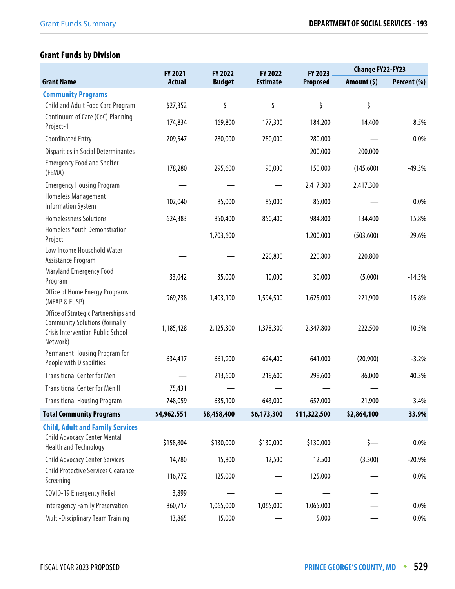# **Grant Funds by Division**

|                                                                                                                                      | FY 2021       | FY 2022       | FY 2022         | FY 2023      | <b>Change FY22-FY23</b> |             |
|--------------------------------------------------------------------------------------------------------------------------------------|---------------|---------------|-----------------|--------------|-------------------------|-------------|
| <b>Grant Name</b>                                                                                                                    | <b>Actual</b> | <b>Budget</b> | <b>Estimate</b> | Proposed     | Amount (\$)             | Percent (%) |
| <b>Community Programs</b>                                                                                                            |               |               |                 |              |                         |             |
| Child and Adult Food Care Program                                                                                                    | \$27,352      | $\zeta$ —     | $\zeta$ —       | $\zeta$ —    | $\zeta$ —               |             |
| Continuum of Care (CoC) Planning<br>Project-1                                                                                        | 174,834       | 169,800       | 177,300         | 184,200      | 14,400                  | 8.5%        |
| <b>Coordinated Entry</b>                                                                                                             | 209,547       | 280,000       | 280,000         | 280,000      |                         | 0.0%        |
| <b>Disparities in Social Determinantes</b>                                                                                           |               |               |                 | 200,000      | 200,000                 |             |
| <b>Emergency Food and Shelter</b><br>(FEMA)                                                                                          | 178,280       | 295,600       | 90,000          | 150,000      | (145,600)               | $-49.3%$    |
| <b>Emergency Housing Program</b>                                                                                                     |               |               |                 | 2,417,300    | 2,417,300               |             |
| Homeless Management<br><b>Information System</b>                                                                                     | 102,040       | 85,000        | 85,000          | 85,000       |                         | 0.0%        |
| <b>Homelessness Solutions</b>                                                                                                        | 624,383       | 850,400       | 850,400         | 984,800      | 134,400                 | 15.8%       |
| <b>Homeless Youth Demonstration</b><br>Project                                                                                       |               | 1,703,600     |                 | 1,200,000    | (503,600)               | $-29.6%$    |
| Low Income Household Water<br>Assistance Program                                                                                     |               |               | 220,800         | 220,800      | 220,800                 |             |
| <b>Maryland Emergency Food</b><br>Program                                                                                            | 33,042        | 35,000        | 10,000          | 30,000       | (5,000)                 | $-14.3%$    |
| Office of Home Energy Programs<br>(MEAP & EUSP)                                                                                      | 969,738       | 1,403,100     | 1,594,500       | 1,625,000    | 221,900                 | 15.8%       |
| Office of Strategic Partnerships and<br><b>Community Solutions (formally</b><br><b>Crisis Intervention Public School</b><br>Network) | 1,185,428     | 2,125,300     | 1,378,300       | 2,347,800    | 222,500                 | 10.5%       |
| Permanent Housing Program for<br>People with Disabilities                                                                            | 634,417       | 661,900       | 624,400         | 641,000      | (20,900)                | $-3.2%$     |
| <b>Transitional Center for Men</b>                                                                                                   |               | 213,600       | 219,600         | 299,600      | 86,000                  | 40.3%       |
| <b>Transitional Center for Men II</b>                                                                                                | 75,431        |               |                 |              |                         |             |
| <b>Transitional Housing Program</b>                                                                                                  | 748,059       | 635,100       | 643,000         | 657,000      | 21,900                  | 3.4%        |
| <b>Total Community Programs</b>                                                                                                      | \$4,962,551   | \$8,458,400   | \$6,173,300     | \$11,322,500 | \$2,864,100             | 33.9%       |
| <b>Child, Adult and Family Services</b><br><b>Child Advocacy Center Mental</b><br><b>Health and Technology</b>                       | \$158,804     | \$130,000     | \$130,000       | \$130,000    | \$—                     | 0.0%        |
| <b>Child Advocacy Center Services</b>                                                                                                | 14,780        | 15,800        | 12,500          | 12,500       | (3,300)                 | $-20.9%$    |
| <b>Child Protective Services Clearance</b><br>Screening                                                                              | 116,772       | 125,000       |                 | 125,000      |                         | 0.0%        |
| COVID-19 Emergency Relief                                                                                                            | 3,899         |               |                 |              |                         |             |
| <b>Interagency Family Preservation</b>                                                                                               | 860,717       | 1,065,000     | 1,065,000       | 1,065,000    |                         | 0.0%        |
| Multi-Disciplinary Team Training                                                                                                     | 13,865        | 15,000        |                 | 15,000       |                         | $0.0\%$     |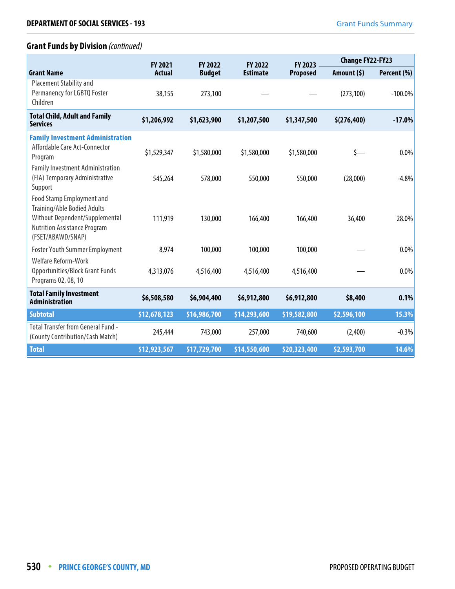# **Grant Funds by Division** (continued)

|                                                                                                                                                                      | <b>FY 2021</b> | <b>FY 2022</b> | <b>FY 2022</b>  | FY 2023         | <b>Change FY22-FY23</b> |             |
|----------------------------------------------------------------------------------------------------------------------------------------------------------------------|----------------|----------------|-----------------|-----------------|-------------------------|-------------|
| <b>Grant Name</b>                                                                                                                                                    | <b>Actual</b>  | <b>Budget</b>  | <b>Estimate</b> | <b>Proposed</b> | Amount $(5)$            | Percent (%) |
| <b>Placement Stability and</b><br>Permanency for LGBTQ Foster<br>Children                                                                                            | 38,155         | 273,100        |                 |                 | (273, 100)              | $-100.0%$   |
| <b>Total Child, Adult and Family</b><br><b>Services</b>                                                                                                              | \$1,206,992    | \$1,623,900    | \$1,207,500     | \$1,347,500     | \$(276, 400)            | $-17.0%$    |
| <b>Family Investment Administration</b><br>Affordable Care Act-Connector<br>Program                                                                                  | \$1,529,347    | \$1,580,000    | \$1,580,000     | \$1,580,000     | \$—                     | 0.0%        |
| <b>Family Investment Administration</b><br>(FIA) Temporary Administrative<br>Support                                                                                 | 545,264        | 578,000        | 550,000         | 550,000         | (28,000)                | $-4.8%$     |
| <b>Food Stamp Employment and</b><br><b>Training/Able Bodied Adults</b><br>Without Dependent/Supplemental<br><b>Nutrition Assistance Program</b><br>(FSET/ABAWD/SNAP) | 111,919        | 130,000        | 166,400         | 166,400         | 36,400                  | 28.0%       |
| <b>Foster Youth Summer Employment</b>                                                                                                                                | 8,974          | 100,000        | 100,000         | 100,000         |                         | 0.0%        |
| <b>Welfare Reform-Work</b><br><b>Opportunities/Block Grant Funds</b><br>Programs 02, 08, 10                                                                          | 4,313,076      | 4,516,400      | 4,516,400       | 4,516,400       |                         | 0.0%        |
| <b>Total Family Investment</b><br><b>Administration</b>                                                                                                              | \$6,508,580    | \$6,904,400    | \$6,912,800     | \$6,912,800     | \$8,400                 | 0.1%        |
| <b>Subtotal</b>                                                                                                                                                      | \$12,678,123   | \$16,986,700   | \$14,293,600    | \$19,582,800    | \$2,596,100             | 15.3%       |
| <b>Total Transfer from General Fund -</b><br>(County Contribution/Cash Match)                                                                                        | 245,444        | 743,000        | 257,000         | 740,600         | (2,400)                 | $-0.3%$     |
| <b>Total</b>                                                                                                                                                         | \$12,923,567   | \$17,729,700   | \$14,550,600    | \$20,323,400    | \$2,593,700             | 14.6%       |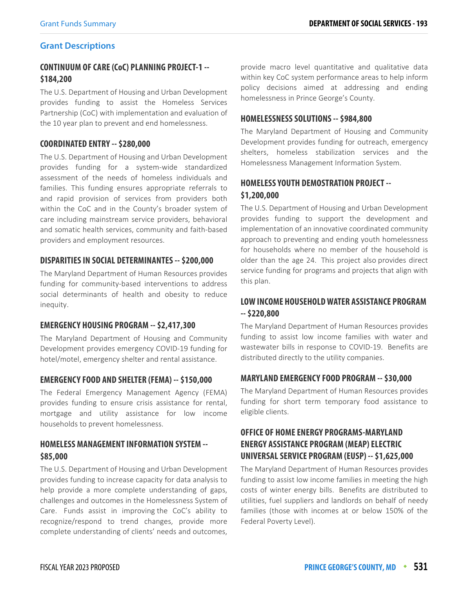#### **Grant Descriptions**

# **CONTINUUM OF CARE (CoC) PLANNING PROJECT-1 -- \$184,200**

The U.S. Department of Housing and Urban Development provides funding to assist the Homeless Services Partnership (CoC) with implementation and evaluation of the 10 year plan to prevent and end homelessness.

#### **COORDINATED ENTRY -- \$280,000**

The U.S. Department of Housing and Urban Development provides funding for a system-wide standardized assessment of the needs of homeless individuals and families. This funding ensures appropriate referrals to and rapid provision of services from providers both within the CoC and in the County's broader system of care including mainstream service providers, behavioral and somatic health services, community and faith-based providers and employment resources.

#### **DISPARITIES IN SOCIAL DETERMINANTES -- \$200,000**

The Maryland Department of Human Resources provides funding for community-based interventions to address social determinants of health and obesity to reduce inequity.

#### **EMERGENCY HOUSING PROGRAM -- \$2,417,300**

The Maryland Department of Housing and Community Development provides emergency COVID-19 funding for hotel/motel, emergency shelter and rental assistance.

#### **EMERGENCY FOOD AND SHELTER (FEMA) -- \$150,000**

The Federal Emergency Management Agency (FEMA) provides funding to ensure crisis assistance for rental, mortgage and utility assistance for low income households to prevent homelessness.

# **HOMELESS MANAGEMENT INFORMATION SYSTEM -- \$85,000**

The U.S. Department of Housing and Urban Development provides funding to increase capacity for data analysis to help provide a more complete understanding of gaps, challenges and outcomes in the Homelessness System of Care. Funds assist in improving the CoC's ability to recognize/respond to trend changes, provide more complete understanding of clients' needs and outcomes, provide macro level quantitative and qualitative data within key CoC system performance areas to help inform policy decisions aimed at addressing and ending homelessness in Prince George's County.

#### **HOMELESSNESS SOLUTIONS -- \$984,800**

The Maryland Department of Housing and Community Development provides funding for outreach, emergency shelters, homeless stabilization services and the Homelessness Management Information System.

### **HOMELESS YOUTH DEMOSTRATION PROJECT -- \$1,200,000**

The U.S. Department of Housing and Urban Development provides funding to support the development and implementation of an innovative coordinated community approach to preventing and ending youth homelessness for households where no member of the household is older than the age 24. This project also provides direct service funding for programs and projects that align with this plan.

# **LOW INCOME HOUSEHOLD WATER ASSISTANCE PROGRAM -- \$220,800**

The Maryland Department of Human Resources provides funding to assist low income families with water and wastewater bills in response to COVID-19. Benefits are distributed directly to the utility companies.

#### **MARYLAND EMERGENCY FOOD PROGRAM -- \$30,000**

The Maryland Department of Human Resources provides funding for short term temporary food assistance to eligible clients.

# **OFFICE OF HOME ENERGY PROGRAMS-MARYLAND ENERGY ASSISTANCE PROGRAM (MEAP) ELECTRIC UNIVERSAL SERVICE PROGRAM (EUSP) -- \$1,625,000**

The Maryland Department of Human Resources provides funding to assist low income families in meeting the high costs of winter energy bills. Benefits are distributed to utilities, fuel suppliers and landlords on behalf of needy families (those with incomes at or below 150% of the Federal Poverty Level).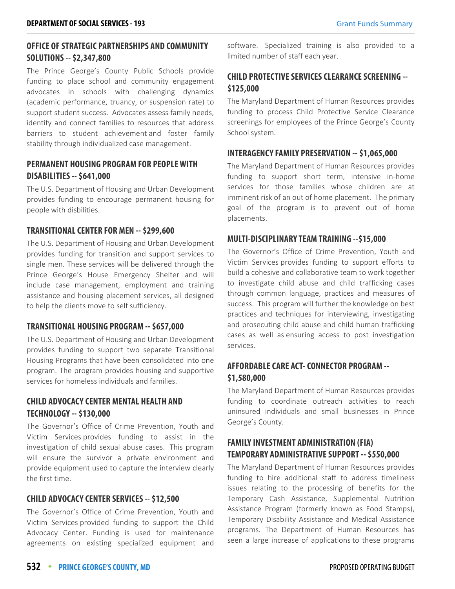# **OFFICE OF STRATEGIC PARTNERSHIPS AND COMMUNITY SOLUTIONS -- \$2,347,800**

The Prince George's County Public Schools provide funding to place school and community engagement advocates in schools with challenging dynamics (academic performance, truancy, or suspension rate) to support student success. Advocates assess family needs, identify and connect families to resources that address barriers to student achievement and foster family stability through individualized case management.

# **PERMANENT HOUSING PROGRAM FOR PEOPLE WITH DISABILITIES -- \$641,000**

The U.S. Department of Housing and Urban Development provides funding to encourage permanent housing for people with disbilities.

#### **TRANSITIONAL CENTER FOR MEN -- \$299,600**

The U.S. Department of Housing and Urban Development provides funding for transition and support services to single men. These services will be delivered through the Prince George's House Emergency Shelter and will include case management, employment and training assistance and housing placement services, all designed to help the clients move to self sufficiency.

#### **TRANSITIONAL HOUSING PROGRAM -- \$657,000**

The U.S. Department of Housing and Urban Development provides funding to support two separate Transitional Housing Programs that have been consolidated into one program. The program provides housing and supportive services for homeless individuals and families.

# **CHILD ADVOCACY CENTER MENTAL HEALTH AND TECHNOLOGY -- \$130,000**

The Governor's Office of Crime Prevention, Youth and Victim Services provides funding to assist in the investigation of child sexual abuse cases. This program will ensure the survivor a private environment and provide equipment used to capture the interview clearly the first time.

#### **CHILD ADVOCACY CENTER SERVICES -- \$12,500**

The Governor's Office of Crime Prevention, Youth and Victim Services provided funding to support the Child Advocacy Center. Funding is used for maintenance agreements on existing specialized equipment and software. Specialized training is also provided to a limited number of staff each year.

# **CHILD PROTECTIVE SERVICES CLEARANCE SCREENING -- \$125,000**

The Maryland Department of Human Resources provides funding to process Child Protective Service Clearance screenings for employees of the Prince George's County School system.

#### **INTERAGENCY FAMILY PRESERVATION -- \$1,065,000**

The Maryland Department of Human Resources provides funding to support short term, intensive in-home services for those families whose children are at imminent risk of an out of home placement. The primary goal of the program is to prevent out of home placements.

#### **MULTI-DISCIPLINARY TEAM TRAINING --\$15,000**

The Governor's Office of Crime Prevention, Youth and Victim Services provides funding to support efforts to build a cohesive and collaborative team to work together to investigate child abuse and child trafficking cases through common language, practices and measures of success. This program will further the knowledge on best practices and techniques for interviewing, investigating and prosecuting child abuse and child human trafficking cases as well as ensuring access to post investigation services.

# **AFFORDABLE CARE ACT- CONNECTOR PROGRAM -- \$1,580,000**

The Maryland Department of Human Resources provides funding to coordinate outreach activities to reach uninsured individuals and small businesses in Prince George's County.

# **FAMILY INVESTMENT ADMINISTRATION (FIA) TEMPORARY ADMINISTRATIVE SUPPORT -- \$550,000**

The Maryland Department of Human Resources provides funding to hire additional staff to address timeliness issues relating to the processing of benefits for the Temporary Cash Assistance, Supplemental Nutrition Assistance Program (formerly known as Food Stamps), Temporary Disability Assistance and Medical Assistance programs. The Department of Human Resources has seen a large increase of applications to these programs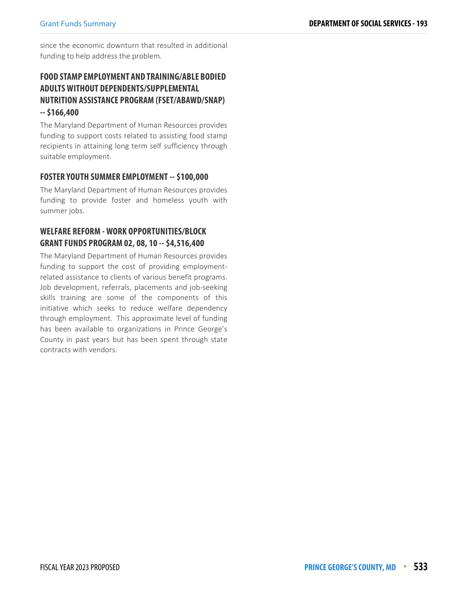since the economic downturn that resulted in additional funding to help address the problem.

# **FOOD STAMP EMPLOYMENT AND TRAINING/ABLE BODIED ADULTS WITHOUT DEPENDENTS/SUPPLEMENTAL NUTRITION ASSISTANCE PROGRAM (FSET/ABAWD/SNAP) -- \$166,400**

The Maryland Department of Human Resources provides funding to support costs related to assisting food stamp recipients in attaining long term self sufficiency through suitable employment.

#### **FOSTER YOUTH SUMMER EMPLOYMENT -- \$100,000**

The Maryland Department of Human Resources provides funding to provide foster and homeless youth with summer jobs.

# **WELFARE REFORM - WORK OPPORTUNITIES/BLOCK GRANT FUNDS PROGRAM 02, 08, 10 -- \$4,516,400**

The Maryland Department of Human Resources provides funding to support the cost of providing employmentrelated assistance to clients of various benefit programs. Job development, referrals, placements and job-seeking skills training are some of the components of this initiative which seeks to reduce welfare dependency through employment. This approximate level of funding has been available to organizations in Prince George's County in past years but has been spent through state contracts with vendors.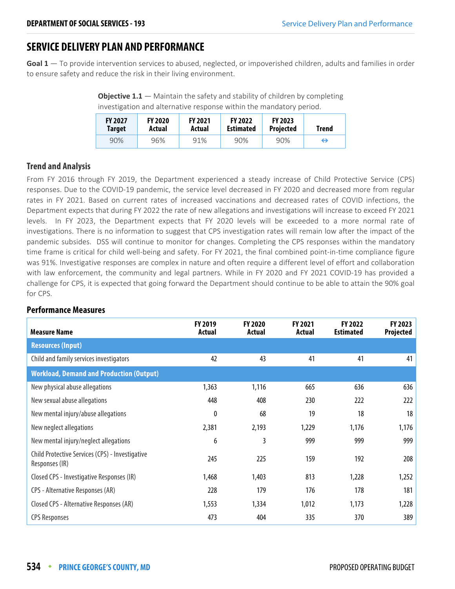# **SERVICE DELIVERY PLAN AND PERFORMANCE**

**Goal 1** — To provide intervention services to abused, neglected, or impoverished children, adults and families in order to ensure safety and reduce the risk in their living environment.

**Objective 1.1** – Maintain the safety and stability of children by completing investigation and alternative response within the mandatory period.

| <b>FY 2027</b> | <b>FY 2020</b> | <b>FY 2021</b> | <b>FY 2022</b>   | <b>FY 2023</b>   | <b>Trend</b> |
|----------------|----------------|----------------|------------------|------------------|--------------|
| Target         | Actual         | Actual         | <b>Estimated</b> | <b>Projected</b> |              |
| 90%            | 96%            | 91%            | 90%              | 90%              | ⇔            |

#### **Trend and Analysis**

From FY 2016 through FY 2019, the Department experienced a steady increase of Child Protective Service (CPS) responses. Due to the COVID-19 pandemic, the service level decreased in FY 2020 and decreased more from regular rates in FY 2021. Based on current rates of increased vaccinations and decreased rates of COVID infections, the Department expects that during FY 2022 the rate of new allegations and investigations will increase to exceed FY 2021 levels. In FY 2023, the Department expects that FY 2020 levels will be exceeded to a more normal rate of investigations. There is no information to suggest that CPS investigation rates will remain low after the impact of the pandemic subsides. DSS will continue to monitor for changes. Completing the CPS responses within the mandatory time frame is critical for child well-being and safety. For FY 2021, the final combined point-in-time compliance figure was 91%. Investigative responses are complex in nature and often require a different level of effort and collaboration with law enforcement, the community and legal partners. While in FY 2020 and FY 2021 COVID-19 has provided a challenge for CPS, it is expected that going forward the Department should continue to be able to attain the 90% goal for CPS.

| <b>Measure Name</b>                                               | FY 2019<br><b>Actual</b> | <b>FY 2020</b><br>Actual | <b>FY 2021</b><br>Actual | <b>FY 2022</b><br><b>Estimated</b> | <b>FY 2023</b><br>Projected |
|-------------------------------------------------------------------|--------------------------|--------------------------|--------------------------|------------------------------------|-----------------------------|
| <b>Resources (Input)</b>                                          |                          |                          |                          |                                    |                             |
| Child and family services investigators                           | 42                       | 43                       | 41                       | 41                                 | 41                          |
| <b>Workload, Demand and Production (Output)</b>                   |                          |                          |                          |                                    |                             |
| New physical abuse allegations                                    | 1,363                    | 1,116                    | 665                      | 636                                | 636                         |
| New sexual abuse allegations                                      | 448                      | 408                      | 230                      | 222                                | 222                         |
| New mental injury/abuse allegations                               | 0                        | 68                       | 19                       | 18                                 | 18                          |
| New neglect allegations                                           | 2,381                    | 2,193                    | 1,229                    | 1,176                              | 1,176                       |
| New mental injury/neglect allegations                             | 6                        | 3                        | 999                      | 999                                | 999                         |
| Child Protective Services (CPS) - Investigative<br>Responses (IR) | 245                      | 225                      | 159                      | 192                                | 208                         |
| Closed CPS - Investigative Responses (IR)                         | 1,468                    | 1,403                    | 813                      | 1,228                              | 1,252                       |
| CPS - Alternative Responses (AR)                                  | 228                      | 179                      | 176                      | 178                                | 181                         |
| Closed CPS - Alternative Responses (AR)                           | 1,553                    | 1,334                    | 1,012                    | 1,173                              | 1,228                       |
| <b>CPS Responses</b>                                              | 473                      | 404                      | 335                      | 370                                | 389                         |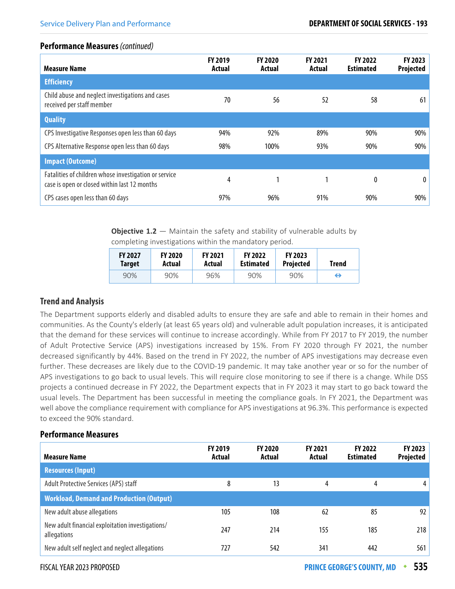#### **Performance Measures** (continued)

| <b>Measure Name</b>                                                                                   | <b>FY 2019</b><br>Actual | <b>FY 2020</b><br>Actual | <b>FY 2021</b><br>Actual | FY 2022<br><b>Estimated</b> | FY 2023<br><b>Projected</b> |
|-------------------------------------------------------------------------------------------------------|--------------------------|--------------------------|--------------------------|-----------------------------|-----------------------------|
| <b>Efficiency</b>                                                                                     |                          |                          |                          |                             |                             |
| Child abuse and neglect investigations and cases<br>received per staff member                         | 70                       | 56                       | 52                       | 58                          | 61                          |
| <b>Quality</b>                                                                                        |                          |                          |                          |                             |                             |
| CPS Investigative Responses open less than 60 days                                                    | 94%                      | 92%                      | 89%                      | 90%                         | 90%                         |
| CPS Alternative Response open less than 60 days                                                       | 98%                      | 100%                     | 93%                      | 90%                         | 90%                         |
| <b>Impact (Outcome)</b>                                                                               |                          |                          |                          |                             |                             |
| Fatalities of children whose investigation or service<br>case is open or closed within last 12 months | 4                        | 1                        |                          | $\boldsymbol{0}$            | $\bf{0}$                    |
| CPS cases open less than 60 days                                                                      | 97%                      | 96%                      | 91%                      | 90%                         | 90%                         |

**Objective 1.2** – Maintain the safety and stability of vulnerable adults by completing investigations within the mandatory period.

| <b>FY 2027</b> | <b>FY 2020</b> | <b>FY 2021</b> | <b>FY 2022</b>   | <b>FY 2023</b>   | Trend |
|----------------|----------------|----------------|------------------|------------------|-------|
| <b>Target</b>  | Actual         | Actual         | <b>Estimated</b> | <b>Projected</b> |       |
| 90%            | 90%            | 96%            | 90%              | 90%              | ⇔     |

#### **Trend and Analysis**

The Department supports elderly and disabled adults to ensure they are safe and able to remain in their homes and communities. As the County's elderly (at least 65 years old) and vulnerable adult population increases, it is anticipated that the demand for these services will continue to increase accordingly. While from FY 2017 to FY 2019, the number of Adult Protective Service (APS) investigations increased by 15%. From FY 2020 through FY 2021, the number decreased significantly by 44%. Based on the trend in FY 2022, the number of APS investigations may decrease even further. These decreases are likely due to the COVID-19 pandemic. It may take another year or so for the number of APS investigations to go back to usual levels. This will require close monitoring to see if there is a change. While DSS projects a continued decrease in FY 2022, the Department expects that in FY 2023 it may start to go back toward the usual levels. The Department has been successful in meeting the compliance goals. In FY 2021, the Department was well above the compliance requirement with compliance for APS investigations at 96.3%. This performance is expected to exceed the 90% standard.

| <b>Measure Name</b>                                             | <b>FY 2019</b><br>Actual | <b>FY 2020</b><br>Actual | <b>FY 2021</b><br>Actual | <b>FY 2022</b><br><b>Estimated</b> | FY 2023<br>Projected |
|-----------------------------------------------------------------|--------------------------|--------------------------|--------------------------|------------------------------------|----------------------|
| <b>Resources (Input)</b>                                        |                          |                          |                          |                                    |                      |
| Adult Protective Services (APS) staff                           | 8                        | 13                       | 4                        | 4                                  | 4                    |
| <b>Workload, Demand and Production (Output)</b>                 |                          |                          |                          |                                    |                      |
| New adult abuse allegations                                     | 105                      | 108                      | 62                       | 85                                 | 92                   |
| New adult financial exploitation investigations/<br>allegations | 247                      | 214                      | 155                      | 185                                | 218                  |
| New adult self neglect and neglect allegations                  | 727                      | 542                      | 341                      | 442                                | 561                  |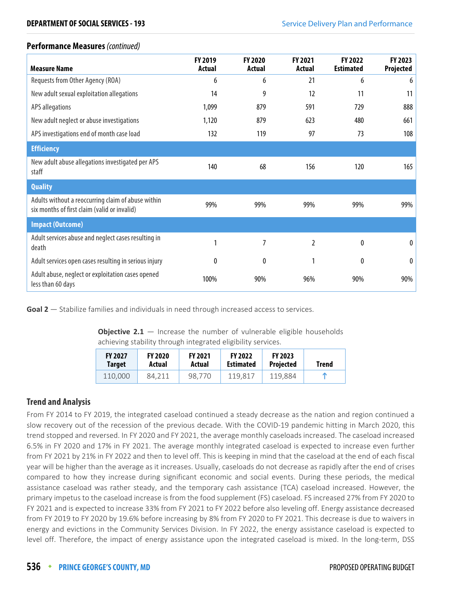#### **Performance Measures** (continued)

| <b>Measure Name</b>                                                                                | FY 2019<br>Actual | <b>FY 2020</b><br><b>Actual</b> | FY 2021<br>Actual | <b>FY 2022</b><br><b>Estimated</b> | FY 2023<br>Projected |
|----------------------------------------------------------------------------------------------------|-------------------|---------------------------------|-------------------|------------------------------------|----------------------|
| Requests from Other Agency (ROA)                                                                   | 6                 | 6                               | 21                | 6                                  | 6                    |
| New adult sexual exploitation allegations                                                          | 14                | 9                               | 12                | 11                                 | 11                   |
| <b>APS allegations</b>                                                                             | 1,099             | 879                             | 591               | 729                                | 888                  |
| New adult neglect or abuse investigations                                                          | 1,120             | 879                             | 623               | 480                                | 661                  |
| APS investigations end of month case load                                                          | 132               | 119                             | 97                | 73                                 | 108                  |
| <b>Efficiency</b>                                                                                  |                   |                                 |                   |                                    |                      |
| New adult abuse allegations investigated per APS<br>staff                                          | 140               | 68                              | 156               | 120                                | 165                  |
| <b>Quality</b>                                                                                     |                   |                                 |                   |                                    |                      |
| Adults without a reoccurring claim of abuse within<br>six months of first claim (valid or invalid) | 99%               | 99%                             | 99%               | 99%                                | 99%                  |
| <b>Impact (Outcome)</b>                                                                            |                   |                                 |                   |                                    |                      |
| Adult services abuse and neglect cases resulting in<br>death                                       | 1                 | 7                               | 2                 | 0                                  | 0                    |
| Adult services open cases resulting in serious injury                                              | 0                 | $\mathbf{0}$                    |                   | $\boldsymbol{0}$                   | 0                    |
| Adult abuse, neglect or exploitation cases opened<br>less than 60 days                             | 100%              | 90%                             | 96%               | 90%                                | 90%                  |

**Goal 2** — Stabilize families and individuals in need through increased access to services.

**Objective 2.1** – Increase the number of vulnerable eligible households achieving stability through integrated eligibility services.

| <b>FY 2027</b> | <b>FY 2020</b> | <b>FY 2021</b> | <b>FY 2022</b>   | <b>FY 2023</b>   | <b>Trend</b> |
|----------------|----------------|----------------|------------------|------------------|--------------|
| Target         | Actual         | Actual         | <b>Estimated</b> | <b>Projected</b> |              |
| 110,000        | 84.211         | 98.770         | 119.817          | 119.884          |              |

#### **Trend and Analysis**

From FY 2014 to FY 2019, the integrated caseload continued a steady decrease as the nation and region continued a slow recovery out of the recession of the previous decade. With the COVID-19 pandemic hitting in March 2020, this trend stopped and reversed. In FY 2020 and FY 2021, the average monthly caseloads increased. The caseload increased 6.5% in FY 2020 and 17% in FY 2021. The average monthly integrated caseload is expected to increase even further from FY 2021 by 21% in FY 2022 and then to level off. This is keeping in mind that the caseload at the end of each fiscal year will be higher than the average as it increases. Usually, caseloads do not decrease as rapidly after the end of crises compared to how they increase during significant economic and social events. During these periods, the medical assistance caseload was rather steady, and the temporary cash assistance (TCA) caseload increased. However, the primary impetus to the caseload increase is from the food supplement (FS) caseload. FS increased 27% from FY 2020 to FY 2021 and is expected to increase 33% from FY 2021 to FY 2022 before also leveling off. Energy assistance decreased from FY 2019 to FY 2020 by 19.6% before increasing by 8% from FY 2020 to FY 2021. This decrease is due to waivers in energy and evictions in the Community Services Division. In FY 2022, the energy assistance caseload is expected to level off. Therefore, the impact of energy assistance upon the integrated caseload is mixed. In the long-term, DSS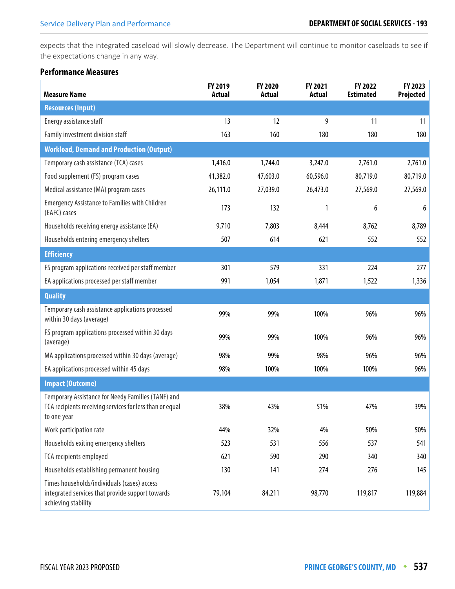expects that the integrated caseload will slowly decrease. The Department will continue to monitor caseloads to see if the expectations change in any way.

| <b>Measure Name</b>                                                                                                           | FY 2019<br><b>Actual</b> | FY 2020<br><b>Actual</b> | <b>FY 2021</b><br><b>Actual</b> | FY 2022<br><b>Estimated</b> | FY 2023<br>Projected |
|-------------------------------------------------------------------------------------------------------------------------------|--------------------------|--------------------------|---------------------------------|-----------------------------|----------------------|
| <b>Resources (Input)</b>                                                                                                      |                          |                          |                                 |                             |                      |
| Energy assistance staff                                                                                                       | 13                       | 12                       | 9                               | 11                          | 11                   |
| Family investment division staff                                                                                              | 163                      | 160                      | 180                             | 180                         | 180                  |
| <b>Workload, Demand and Production (Output)</b>                                                                               |                          |                          |                                 |                             |                      |
| Temporary cash assistance (TCA) cases                                                                                         | 1,416.0                  | 1,744.0                  | 3,247.0                         | 2,761.0                     | 2,761.0              |
| Food supplement (FS) program cases                                                                                            | 41,382.0                 | 47,603.0                 | 60,596.0                        | 80,719.0                    | 80,719.0             |
| Medical assistance (MA) program cases                                                                                         | 26,111.0                 | 27,039.0                 | 26,473.0                        | 27,569.0                    | 27,569.0             |
| <b>Emergency Assistance to Families with Children</b><br>(EAFC) cases                                                         | 173                      | 132                      | 1                               | 6                           | 6                    |
| Households receiving energy assistance (EA)                                                                                   | 9,710                    | 7,803                    | 8,444                           | 8,762                       | 8,789                |
| Households entering emergency shelters                                                                                        | 507                      | 614                      | 621                             | 552                         | 552                  |
| <b>Efficiency</b>                                                                                                             |                          |                          |                                 |                             |                      |
| FS program applications received per staff member                                                                             | 301                      | 579                      | 331                             | 224                         | 277                  |
| EA applications processed per staff member                                                                                    | 991                      | 1,054                    | 1,871                           | 1,522                       | 1,336                |
| <b>Quality</b>                                                                                                                |                          |                          |                                 |                             |                      |
| Temporary cash assistance applications processed<br>within 30 days (average)                                                  | 99%                      | 99%                      | 100%                            | 96%                         | 96%                  |
| FS program applications processed within 30 days<br>(average)                                                                 | 99%                      | 99%                      | 100%                            | 96%                         | 96%                  |
| MA applications processed within 30 days (average)                                                                            | 98%                      | 99%                      | 98%                             | 96%                         | 96%                  |
| EA applications processed within 45 days                                                                                      | 98%                      | 100%                     | 100%                            | 100%                        | 96%                  |
| <b>Impact (Outcome)</b>                                                                                                       |                          |                          |                                 |                             |                      |
| Temporary Assistance for Needy Families (TANF) and<br>TCA recipients receiving services for less than or equal<br>to one year | 38%                      | 43%                      | 51%                             | 47%                         | 39%                  |
| Work participation rate                                                                                                       | 44%                      | 32%                      | 4%                              | 50%                         | 50%                  |
| Households exiting emergency shelters                                                                                         | 523                      | 531                      | 556                             | 537                         | 541                  |
| TCA recipients employed                                                                                                       | 621                      | 590                      | 290                             | 340                         | 340                  |
| Households establishing permanent housing                                                                                     | 130                      | 141                      | 274                             | 276                         | 145                  |
| Times households/individuals (cases) access<br>integrated services that provide support towards<br>achieving stability        | 79,104                   | 84,211                   | 98,770                          | 119,817                     | 119,884              |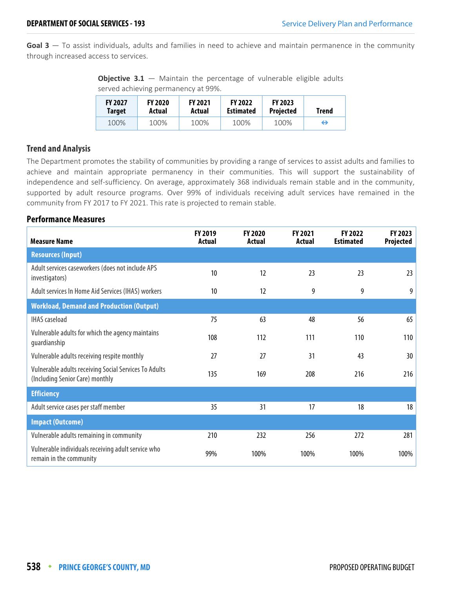**Goal 3** — To assist individuals, adults and families in need to achieve and maintain permanence in the community through increased access to services.

**Objective 3.1** – Maintain the percentage of vulnerable eligible adults served achieving permanency at 99%.

| <b>FY 2027</b> | <b>FY 2020</b> | <b>FY 2021</b> | <b>FY 2022</b>   | <b>FY 2023</b>   | <b>Trend</b> |
|----------------|----------------|----------------|------------------|------------------|--------------|
| Target         | Actual         | Actual         | <b>Estimated</b> | <b>Projected</b> |              |
| 100%           | 100%           | 100%           | 100%             | 100%             | ⇔            |

#### **Trend and Analysis**

The Department promotes the stability of communities by providing a range of services to assist adults and families to achieve and maintain appropriate permanency in their communities. This will support the sustainability of independence and self-sufficiency. On average, approximately 368 individuals remain stable and in the community, supported by adult resource programs. Over 99% of individuals receiving adult services have remained in the community from FY 2017 to FY 2021. This rate is projected to remain stable.

| <b>Measure Name</b>                                                                      | FY 2019<br>Actual | FY 2020<br>Actual | FY 2021<br><b>Actual</b> | FY 2022<br><b>Estimated</b> | FY 2023<br>Projected |
|------------------------------------------------------------------------------------------|-------------------|-------------------|--------------------------|-----------------------------|----------------------|
| <b>Resources (Input)</b>                                                                 |                   |                   |                          |                             |                      |
| Adult services caseworkers (does not include APS<br>investigators)                       | 10                | 12                | 23                       | 23                          | 23                   |
| Adult services In Home Aid Services (IHAS) workers                                       | 10                | 12                | 9                        | 9                           | 9                    |
| <b>Workload, Demand and Production (Output)</b>                                          |                   |                   |                          |                             |                      |
| <b>IHAS</b> caseload                                                                     | 75                | 63                | 48                       | 56                          | 65                   |
| Vulnerable adults for which the agency maintains<br>guardianship                         | 108               | 112               | 111                      | 110                         | 110                  |
| Vulnerable adults receiving respite monthly                                              | 27                | 27                | 31                       | 43                          | 30                   |
| Vulnerable adults receiving Social Services To Adults<br>(Including Senior Care) monthly | 135               | 169               | 208                      | 216                         | 216                  |
| <b>Efficiency</b>                                                                        |                   |                   |                          |                             |                      |
| Adult service cases per staff member                                                     | 35                | 31                | 17                       | 18                          | 18                   |
| <b>Impact (Outcome)</b>                                                                  |                   |                   |                          |                             |                      |
| Vulnerable adults remaining in community                                                 | 210               | 232               | 256                      | 272                         | 281                  |
| Vulnerable individuals receiving adult service who<br>remain in the community            | 99%               | 100%              | 100%                     | 100%                        | 100%                 |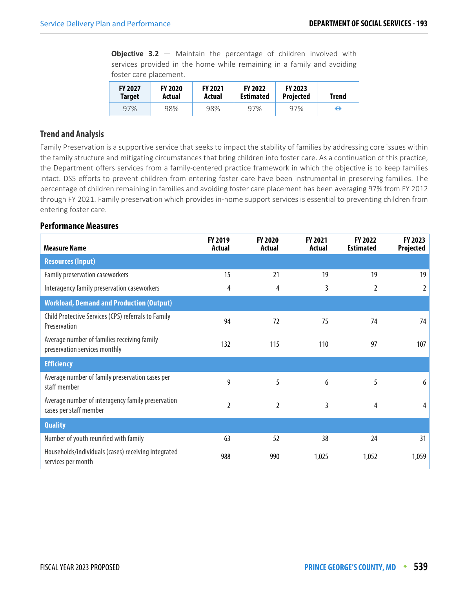**Objective 3.2** – Maintain the percentage of children involved with services provided in the home while remaining in a family and avoiding foster care placement.

| <b>FY 2027</b> | <b>FY 2020</b> | <b>FY 2021</b> | <b>FY 2022</b>   | <b>FY 2023</b>   | Trend |
|----------------|----------------|----------------|------------------|------------------|-------|
| <b>Target</b>  | Actual         | Actual         | <b>Estimated</b> | <b>Projected</b> |       |
| 97%            | 98%            | 98%            | 97%              | 97%              | ↔     |

#### **Trend and Analysis**

Family Preservation is a supportive service that seeks to impact the stability of families by addressing core issues within the family structure and mitigating circumstances that bring children into foster care. As a continuation of this practice, the Department offers services from a family-centered practice framework in which the objective is to keep families intact. DSS efforts to prevent children from entering foster care have been instrumental in preserving families. The percentage of children remaining in families and avoiding foster care placement has been averaging 97% from FY 2012 through FY 2021. Family preservation which provides in-home support services is essential to preventing children from entering foster care.

| <b>Measure Name</b>                                                          | FY 2019<br>Actual | FY 2020<br><b>Actual</b> | FY 2021<br><b>Actual</b> | FY 2022<br><b>Estimated</b> | FY 2023<br>Projected |
|------------------------------------------------------------------------------|-------------------|--------------------------|--------------------------|-----------------------------|----------------------|
| <b>Resources (Input)</b>                                                     |                   |                          |                          |                             |                      |
| Family preservation caseworkers                                              | 15                | 21                       | 19                       | 19                          | 19                   |
| Interagency family preservation caseworkers                                  | 4                 | 4                        | 3                        | 2                           | 2                    |
| <b>Workload, Demand and Production (Output)</b>                              |                   |                          |                          |                             |                      |
| Child Protective Services (CPS) referrals to Family<br>Preservation          | 94                | 72                       | 75                       | 74                          | 74                   |
| Average number of families receiving family<br>preservation services monthly | 132               | 115                      | 110                      | 97                          | 107                  |
| <b>Efficiency</b>                                                            |                   |                          |                          |                             |                      |
| Average number of family preservation cases per<br>staff member              | 9                 | 5                        | 6                        | 5                           | 6                    |
| Average number of interagency family preservation<br>cases per staff member  | 2                 | $\mathfrak{I}$           | 3                        | 4                           | 4                    |
| <b>Quality</b>                                                               |                   |                          |                          |                             |                      |
| Number of youth reunified with family                                        | 63                | 52                       | 38                       | 24                          | 31                   |
| Households/individuals (cases) receiving integrated<br>services per month    | 988               | 990                      | 1,025                    | 1,052                       | 1,059                |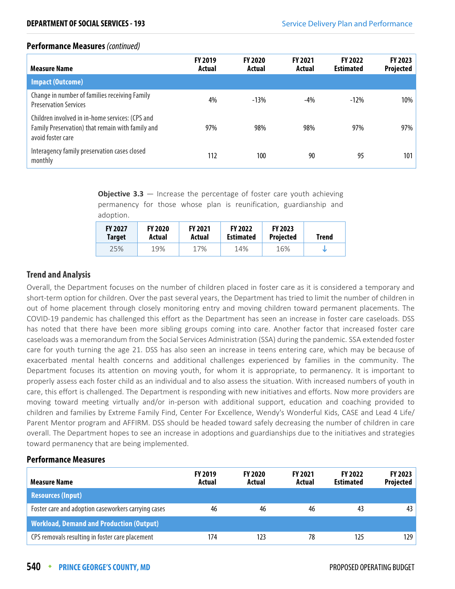#### **Performance Measures** (continued)

| <b>Measure Name</b>                                                                                                      | <b>FY 2019</b><br>Actual | <b>FY 2020</b><br>Actual | <b>FY 2021</b><br>Actual | <b>FY 2022</b><br><b>Estimated</b> | <b>FY 2023</b><br><b>Projected</b> |
|--------------------------------------------------------------------------------------------------------------------------|--------------------------|--------------------------|--------------------------|------------------------------------|------------------------------------|
| <b>Impact (Outcome)</b>                                                                                                  |                          |                          |                          |                                    |                                    |
| Change in number of families receiving Family<br><b>Preservation Services</b>                                            | 4%                       | $-13%$                   | $-4\%$                   | $-12%$                             | 10%                                |
| Children involved in in-home services: (CPS and<br>Family Preservation) that remain with family and<br>avoid foster care | 97%                      | 98%                      | 98%                      | 97%                                | 97%                                |
| Interagency family preservation cases closed<br>monthly                                                                  | 112                      | 100                      | 90                       | 95                                 | 101                                |

**Objective 3.3** – Increase the percentage of foster care youth achieving permanency for those whose plan is reunification, guardianship and adoption.

| <b>FY 2027</b> | <b>FY 2020</b> | <b>FY 2021</b> | <b>FY 2022</b>   | <b>FY 2023</b>   | <b>Trend</b> |
|----------------|----------------|----------------|------------------|------------------|--------------|
| <b>Target</b>  | Actual         | Actual         | <b>Estimated</b> | <b>Projected</b> |              |
| 25%            | 19%            | 17%            | 14%              | 16%              |              |

#### **Trend and Analysis**

Overall, the Department focuses on the number of children placed in foster care as it is considered a temporary and short-term option for children. Over the past several years, the Department has tried to limit the number of children in out of home placement through closely monitoring entry and moving children toward permanent placements. The COVID-19 pandemic has challenged this effort as the Department has seen an increase in foster care caseloads. DSS has noted that there have been more sibling groups coming into care. Another factor that increased foster care caseloads was a memorandum from the Social Services Administration (SSA) during the pandemic. SSA extended foster care for youth turning the age 21. DSS has also seen an increase in teens entering care, which may be because of exacerbated mental health concerns and additional challenges experienced by families in the community. The Department focuses its attention on moving youth, for whom it is appropriate, to permanency. It is important to properly assess each foster child as an individual and to also assess the situation. With increased numbers of youth in care, this effort is challenged. The Department is responding with new initiatives and efforts. Now more providers are moving toward meeting virtually and/or in-person with additional support, education and coaching provided to children and families by Extreme Family Find, Center For Excellence, Wendy's Wonderful Kids, CASE and Lead 4 Life/ Parent Mentor program and AFFIRM. DSS should be headed toward safely decreasing the number of children in care overall. The Department hopes to see an increase in adoptions and guardianships due to the initiatives and strategies toward permanency that are being implemented.

| <b>Measure Name</b>                                 | <b>FY 2019</b><br>Actual | <b>FY 2020</b><br>Actual | <b>FY 2021</b><br>Actual | <b>FY 2022</b><br><b>Estimated</b> | FY 2023<br><b>Projected</b> |
|-----------------------------------------------------|--------------------------|--------------------------|--------------------------|------------------------------------|-----------------------------|
| <b>Resources (Input)</b>                            |                          |                          |                          |                                    |                             |
| Foster care and adoption caseworkers carrying cases | 46                       | 46                       | 46                       | 43                                 | 43                          |
| <b>Workload, Demand and Production (Output)</b>     |                          |                          |                          |                                    |                             |
| CPS removals resulting in foster care placement     | 174                      | 123                      | 78                       | 125                                | 129                         |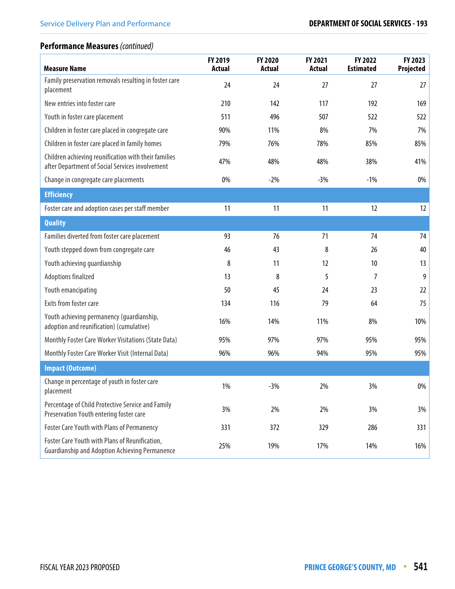# **Performance Measures** (continued)

| <b>Measure Name</b>                                                                                     | FY 2019<br><b>Actual</b> | <b>FY 2020</b><br><b>Actual</b> | FY 2021<br><b>Actual</b> | FY 2022<br><b>Estimated</b> | FY 2023<br>Projected |
|---------------------------------------------------------------------------------------------------------|--------------------------|---------------------------------|--------------------------|-----------------------------|----------------------|
| Family preservation removals resulting in foster care<br>placement                                      | 24                       | 24                              | 27                       | 27                          | 27                   |
| New entries into foster care                                                                            | 210                      | 142                             | 117                      | 192                         | 169                  |
| Youth in foster care placement                                                                          | 511                      | 496                             | 507                      | 522                         | 522                  |
| Children in foster care placed in congregate care                                                       | 90%                      | 11%                             | 8%                       | 7%                          | 7%                   |
| Children in foster care placed in family homes                                                          | 79%                      | 76%                             | 78%                      | 85%                         | 85%                  |
| Children achieving reunification with their families<br>after Department of Social Services involvement | 47%                      | 48%                             | 48%                      | 38%                         | 41%                  |
| Change in congregate care placements                                                                    | 0%                       | $-2%$                           | $-3%$                    | $-1%$                       | 0%                   |
| <b>Efficiency</b>                                                                                       |                          |                                 |                          |                             |                      |
| Foster care and adoption cases per staff member                                                         | 11                       | 11                              | 11                       | 12                          | 12                   |
| <b>Quality</b>                                                                                          |                          |                                 |                          |                             |                      |
| Families diverted from foster care placement                                                            | 93                       | 76                              | 71                       | 74                          | 74                   |
| Youth stepped down from congregate care                                                                 | 46                       | 43                              | 8                        | 26                          | 40                   |
| Youth achieving guardianship                                                                            | 8                        | 11                              | 12                       | 10                          | 13                   |
| Adoptions finalized                                                                                     | 13                       | 8                               | 5                        | 7                           | 9                    |
| Youth emancipating                                                                                      | 50                       | 45                              | 24                       | 23                          | 22                   |
| Exits from foster care                                                                                  | 134                      | 116                             | 79                       | 64                          | 75                   |
| Youth achieving permanency (guardianship,<br>adoption and reunification) (cumulative)                   | 16%                      | 14%                             | 11%                      | 8%                          | 10%                  |
| Monthly Foster Care Worker Visitations (State Data)                                                     | 95%                      | 97%                             | 97%                      | 95%                         | 95%                  |
| Monthly Foster Care Worker Visit (Internal Data)                                                        | 96%                      | 96%                             | 94%                      | 95%                         | 95%                  |
| <b>Impact (Outcome)</b>                                                                                 |                          |                                 |                          |                             |                      |
| Change in percentage of youth in foster care<br>placement                                               | $1\%$                    | $-3%$                           | 2%                       | 3%                          | $0\%$                |
| Percentage of Child Protective Service and Family<br>Preservation Youth entering foster care            | 3%                       | 2%                              | 2%                       | 3%                          | 3%                   |
| Foster Care Youth with Plans of Permanency                                                              | 331                      | 372                             | 329                      | 286                         | 331                  |
| Foster Care Youth with Plans of Reunification,<br><b>Guardianship and Adoption Achieving Permanence</b> | 25%                      | 19%                             | 17%                      | 14%                         | 16%                  |